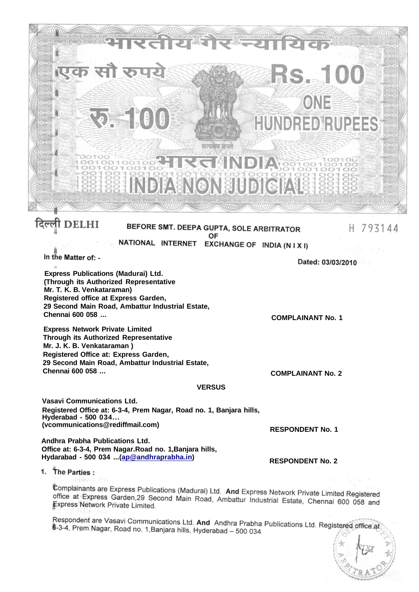

#### BEFORE SMT. DEEPA GUPTA, SOLE ARBITRATOR OF NATIONAL INTERNET EXCHANGE OF INDIA (N I X I)

In the Matter of: -

**Express Publications (Madurai) Ltd. (Through its Authorized Representative Mr. T. K. B. Venkataraman) Registered office at Express Garden, 29 Second Main Road, Ambattur Industrial Estate, Chennai 600 058 ...** 

**Express Network Private Limited Through its Authorized Representative Mr. J. K. B. Venkataraman ) Registered Office at: Express Garden, 29 Second Main Road, Ambattur Industrial Estate, Chennai 600 058 ...** 

Dated: 03/03/2010

**COMPLAINANT No. 2** 

**RESPONDENT No. 1** 

**RESPONDENT No. 2** 

**COMPLAINANT No. 1** 

#### **VERSUS**

**Vasavi Communications Ltd. Registered Office at: 6-3-4, Prem Nagar, Road no. 1, Banjara hills, Hyderabad - 500 034... (vcommunications@rediffmail.com)** 

**Andhra Prabha Publications Ltd. Office at: 6-3-4, Prem Nagar.Road no. 1,Banjara hills, Hydarabad - 500 034 ...([ap@andhraprabha.in\)](mailto:ap@andhraprabha.in)** 

1. The Parties:

Complainants are Express Publications (Madurai) Ltd. And Express Network Private Limited Registered office at Express Garden, 29 Second Main Road, Ambattur Industrial Estate, Chennai 600 058 and<br>Express Network Private Limited Express Network Private Limited.

Respondent are Vasavi Communications Ltd. And Andhra Prabha Publications Ltd. Registered office at 6-3-4, Prem Nagar, Road no. 1, Banjara hills, Hyderabad – 500 034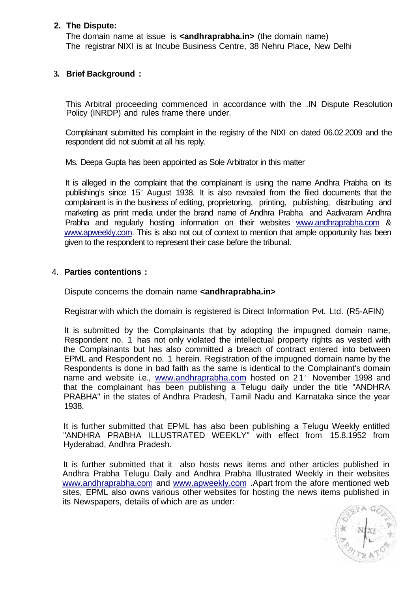## **2. The Dispute:**

The domain name at issue is **<andhraprabha.in>** (the domain name) The registrar NIXI is at Incube Business Centre, 38 Nehru Place, New Delhi

# **3. Brief Background :**

This Arbitral proceeding commenced in accordance with the .IN Dispute Resolution Policy (INRDP) and rules frame there under.

Complainant submitted his complaint in the registry of the NIXI on dated 06.02.2009 and the respondent did not submit at all his reply.

Ms. Deepa Gupta has been appointed as Sole Arbitrator in this matter

It is alleged in the complaint that the complainant is using the name Andhra Prabha on its publishing's since 15<sup>th</sup> August 1938. It is also revealed from the filed documents that the complainant is in the business of editing, proprietoring, printing, publishing, distributing and marketing as print media under the brand name of Andhra Prabha and Aadivaram Andhra Prabha and regularly hosting information on their websites [www.andhraprabha.com &](http://www.andhraprabha.com) [www.apweekly.com.](http://www.apweekly.com) This is also not out of context to mention that ample opportunity has been given to the respondent to represent their case before the tribunal.

## 4. **Parties contentions :**

Dispute concerns the domain name *<u>candhraprabha.in></u>* 

Registrar with which the domain is registered is Direct Information Pvt. Ltd. (R5-AFIN)

It is submitted by the Complainants that by adopting the impugned domain name, Respondent no. 1 has not only violated the intellectual property rights as vested with the Complainants but has also committed a breach of contract entered into between EPML and Respondent no. 1 herein. Registration of the impugned domain name by the Respondents is done in bad faith as the same is identical to the Complainant's domain name and website i.e., [www.andhraprabha.com](http://www.andhraprabha.com) hosted on 21<sup>st</sup> November 1998 and that the complainant has been publishing a Telugu daily under the title "ANDHRA PRABHA" in the states of Andhra Pradesh, Tamil Nadu and Karnataka since the year 1938.

It is further submitted that EPML has also been publishing a Telugu Weekly entitled "ANDHRA PRABHA ILLUSTRATED WEEKLY" with effect from 15.8.1952 from Hyderabad, Andhra Pradesh.

It is further submitted that it also hosts news items and other articles published in Andhra Prabha Telugu Daily and Andhra Prabha Illustrated Weekly in their websites [www.andhraprabha.com](http://www.andhraprabha.com) and [www.apweekly.com](http://www.apweekly.com) .Apart from the afore mentioned web sites, EPML also owns various other websites for hosting the news items published in its Newspapers, details of which are as under:

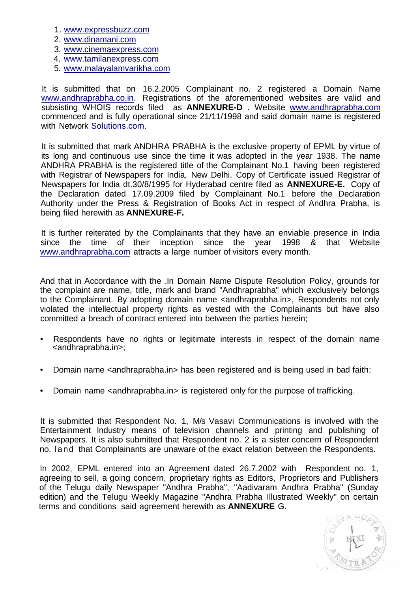- 1. [www.expressbuzz.com](http://www.expressbuzz.com)
- 2. [www.dinamani.com](http://www.dinamani.com)
- 3. [www.cinemaexpress.com](http://www.cinemaexpress.com)
- 4. [www.tamilanexpress.com](http://www.tamilanexpress.com)
- 5. [www.malayalamvarikha.com](http://www.malayalamvarikha.com)

It is submitted that on 16.2.2005 Complainant no. 2 registered a Domain Name [www.andhraprabha.co.in.](http://www.andhraprabha.co.in) Registrations of the aforementioned websites are valid and subsisting WHOIS records filed as **ANNEXURE-D** . Website [www.andhraprabha.com](http://www.andhraprabha.com) commenced and is fully operational since 21/11/1998 and said domain name is registered with Network [Solutions.com.](http://Solutions.com)

It is submitted that mark ANDHRA PRABHA is the exclusive property of EPML by virtue of its long and continuous use since the time it was adopted in the year 1938. The name ANDHRA PRABHA is the registered title of the Complainant No.1 having been registered with Registrar of Newspapers for India, New Delhi. Copy of Certificate issued Registrar of Newspapers for India dt.30/8/1995 for Hyderabad centre filed as **ANNEXURE-E.** Copy of the Declaration dated 17.09.2009 filed by Complainant No.1 before the Declaration Authority under the Press & Registration of Books Act in respect of Andhra Prabha, is being filed herewith as **ANNEXURE-F.** 

It is further reiterated by the Complainants that they have an enviable presence in India since the time of their inception since the year 1998 & that Website [www.andhraprabha.com a](http://www.andhraprabha.com)ttracts a large number of visitors every month.

And that in Accordance with the .In Domain Name Dispute Resolution Policy, grounds for the complaint are name, title, mark and brand "Andhraprabha" which exclusively belongs to the Complainant. By adopting domain name <andhraprabha.in>, Respondents not only violated the intellectual property rights as vested with the Complainants but have also committed a breach of contract entered into between the parties herein;

- Respondents have no rights or legitimate interests in respect of the domain name <andhraprabha.in>;
- Domain name <andhraprabha.in> has been registered and is being used in bad faith;
- Domain name <andhraprabha.in> is registered only for the purpose of trafficking.

It is submitted that Respondent No. 1, M/s Vasavi Communications is involved with the Entertainment Industry means of television channels and printing and publishing of Newspapers. It is also submitted that Respondent no. 2 is a sister concern of Respondent no. land that Complainants are unaware of the exact relation between the Respondents.

In 2002, EPML entered into an Agreement dated 26.7.2002 with Respondent no. 1, agreeing to sell, a going concern, proprietary rights as Editors, Proprietors and Publishers of the Telugu daily Newspaper "Andhra Prabha", "Aadivaram Andhra Prabha" (Sunday edition) and the Telugu Weekly Magazine "Andhra Prabha Illustrated Weekly" on certain terms and conditions said agreement herewith as **ANNEXURE** G.

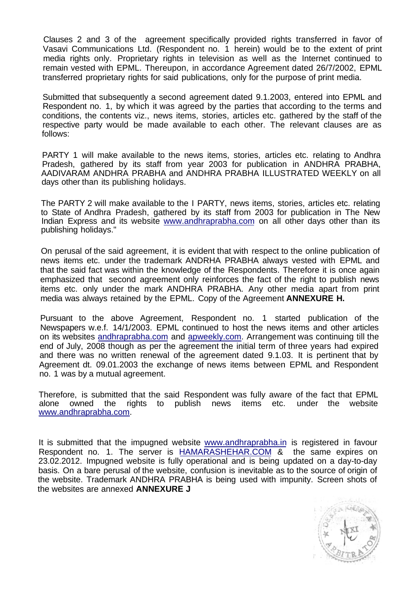Clauses 2 and 3 of the agreement specifically provided rights transferred in favor of Vasavi Communications Ltd. (Respondent no. 1 herein) would be to the extent of print media rights only. Proprietary rights in television as well as the Internet continued to remain vested with EPML. Thereupon, in accordance Agreement dated 26/7/2002, EPML transferred proprietary rights for said publications, only for the purpose of print media.

Submitted that subsequently a second agreement dated 9.1.2003, entered into EPML and Respondent no. 1, by which it was agreed by the parties that according to the terms and conditions, the contents viz., news items, stories, articles etc. gathered by the staff of the respective party would be made available to each other. The relevant clauses are as follows:

PARTY 1 will make available to the news items, stories, articles etc. relating to Andhra Pradesh, gathered by its staff from year 2003 for publication in ANDHRA PRABHA, AADIVARAM ANDHRA PRABHA and ANDHRA PRABHA ILLUSTRATED WEEKLY on all days other than its publishing holidays.

The PARTY 2 will make available to the I PARTY, news items, stories, articles etc. relating to State of Andhra Pradesh, gathered by its staff from 2003 for publication in The New Indian Express and its website [www.andhraprabha.com](http://www.andhraprabha.com) on all other days other than its publishing holidays."

On perusal of the said agreement, it is evident that with respect to the online publication of news items etc. under the trademark ANDRHA PRABHA always vested with EPML and that the said fact was within the knowledge of the Respondents. Therefore it is once again emphasized that second agreement only reinforces the fact of the right to publish news items etc. only under the mark ANDHRA PRABHA. Any other media apart from print media was always retained by the EPML. Copy of the Agreement **ANNEXURE H.** 

Pursuant to the above Agreement, Respondent no. 1 started publication of the Newspapers w.e.f. 14/1/2003. EPML continued to host the news items and other articles on its websites [andhraprabha.com a](http://andhraprabha.com)nd [apweekly.com.](http://apweekly.com) Arrangement was continuing till the end of July, 2008 though as per the agreement the initial term of three years had expired and there was no written renewal of the agreement dated 9.1.03. It is pertinent that by Agreement dt. 09.01.2003 the exchange of news items between EPML and Respondent no. 1 was by a mutual agreement.

Therefore, is submitted that the said Respondent was fully aware of the fact that EPML alone owned the rights to publish news items etc. under the website [www.andhraprabha.com.](http://www.andhraprabha.com)

It is submitted that the impugned website [www.andhraprabha.in](http://www.andhraprabha.in) is registered in favour Respondent no. 1. The server is [HAMARASHEHAR.COM &](http://HAMARASHEHAR.COM) the same expires on 23.02.2012. Impugned website is fully operational and is being updated on a day-to-day basis. On a bare perusal of the website, confusion is inevitable as to the source of origin of the website. Trademark ANDHRA PRABHA is being used with impunity. Screen shots of the websites are annexed **ANNEXURE J** 

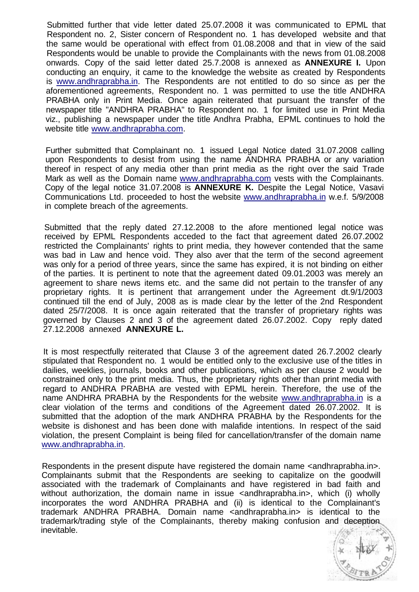Submitted further that vide letter dated 25.07.2008 it was communicated to EPML that Respondent no. 2, Sister concern of Respondent no. 1 has developed website and that the same would be operational with effect from 01.08.2008 and that in view of the said Respondents would be unable to provide the Complainants with the news from 01.08.2008 onwards. Copy of the said letter dated 25.7.2008 is annexed as **ANNEXURE I.** Upon conducting an enquiry, it came to the knowledge the website as created by Respondents is [www.andhraprabha.in.](http://www.andhraprabha.in) The Respondents are not entitled to do so since as per the aforementioned agreements, Respondent no. 1 was permitted to use the title ANDHRA PRABHA only in Print Media. Once again reiterated that pursuant the transfer of the newspaper title "ANDHRA PRABHA" to Respondent no. 1 for limited use in Print Media viz., publishing a newspaper under the title Andhra Prabha, EPML continues to hold the website title [www.andhraprabha.com.](http://www.andhraprabha.com)

Further submitted that Complainant no. 1 issued Legal Notice dated 31.07.2008 calling upon Respondents to desist from using the name ANDHRA PRABHA or any variation thereof in respect of any media other than print media as the right over the said Trade Mark as well as the Domain name [www.andhraprabha.com](http://www.andhraprabha.com) vests with the Complainants. Copy of the legal notice 31.07.2008 is **ANNEXURE K.** Despite the Legal Notice, Vasavi Communications Ltd. proceeded to host the website [www.andhraprabha.in w](http://www.andhraprabha.in).e.f. 5/9/2008 in complete breach of the agreements.

Submitted that the reply dated 27.12.2008 to the afore mentioned legal notice was received by EPML Respondents acceded to the fact that agreement dated 26.07.2002 restricted the Complainants' rights to print media, they however contended that the same was bad in Law and hence void. They also aver that the term of the second agreement was only for a period of three years, since the same has expired, it is not binding on either of the parties. It is pertinent to note that the agreement dated 09.01.2003 was merely an agreement to share news items etc. and the same did not pertain to the transfer of any proprietary rights. It is pertinent that arrangement under the Agreement dt.9/1/2003 continued till the end of July, 2008 as is made clear by the letter of the 2nd Respondent dated 25/7/2008. It is once again reiterated that the transfer of proprietary rights was governed by Clauses 2 and 3 of the agreement dated 26.07.2002. Copy reply dated 27.12.2008 annexed **ANNEXURE L.** 

It is most respectfully reiterated that Clause 3 of the agreement dated 26.7.2002 clearly stipulated that Respondent no. 1 would be entitled only to the exclusive use of the titles in dailies, weeklies, journals, books and other publications, which as per clause 2 would be constrained only to the print media. Thus, the proprietary rights other than print media with regard to ANDHRA PRABHA are vested with EPML herein. Therefore, the use of the name ANDHRA PRABHA by the Respondents for the website [www.andhraprabha.in](http://www.andhraprabha.in) is a clear violation of the terms and conditions of the Agreement dated 26.07.2002. It is submitted that the adoption of the mark ANDHRA PRABHA by the Respondents for the website is dishonest and has been done with malafide intentions. In respect of the said violation, the present Complaint is being filed for cancellation/transfer of the domain name [www.andhraprabha.in.](http://www.andhraprabha.in)

Respondents in the present dispute have registered the domain name <andhraprabha.in>. Complainants submit that the Respondents are seeking to capitalize on the goodwill associated with the trademark of Complainants and have registered in bad faith and without authorization, the domain name in issue <andhraprabha.in>, which (i) wholly incorporates the word ANDHRA PRABHA and (ii) is identical to the Complainant's trademark ANDHRA PRABHA. Domain name <andhraprabha.in> is identical to the trademark/trading style of the Complainants, thereby making confusion and deception inevitable.

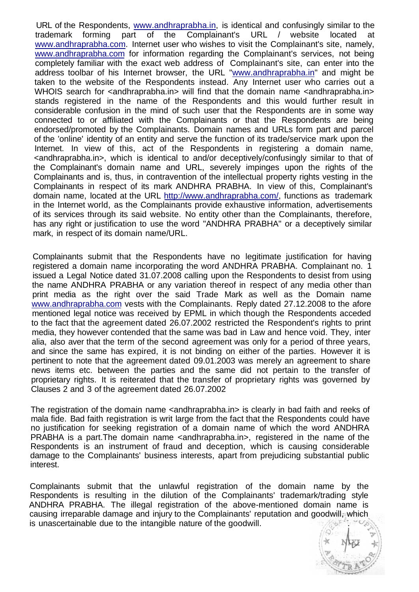URL of the Respondents, [www.andhraprabha.in,](http://www.andhraprabha.in) is identical and confusingly similar to the trademark forming part of the Complainant's URL / website located at [www.andhraprabha.com.](http://www.andhraprabha.com) Internet user who wishes to visit the Complainant's site, namely, [www.andhraprabha.com f](http://www.andhraprabha.com)or information regarding the Complainant's services, not being completely familiar with the exact web address of Complainant's site, can enter into the address toolbar of his Internet browser, the URL ["www.andhraprabha.in"](http://www.andhraprabha.in) and might be taken to the website of the Respondents instead. Any Internet user who carries out a WHOIS search for <andhraprabha.in> will find that the domain name <andhraprabha.in> stands registered in the name of the Respondents and this would further result in considerable confusion in the mind of such user that the Respondents are in some way connected to or affiliated with the Complainants or that the Respondents are being endorsed/promoted by the Complainants. Domain names and URLs form part and parcel of the 'online' identity of an entity and serve the function of its trade/service mark upon the Internet. In view of this, act of the Respondents in registering a domain name, <andhraprabha.in>, which is identical to and/or deceptively/confusingly similar to that of the Complainant's domain name and URL, severely impinges upon the rights of the Complainants and is, thus, in contravention of the intellectual property rights vesting in the Complainants in respect of its mark ANDHRA PRABHA. In view of this, Complainant's domain name, located at the URL [http://www.andhraprabha.com/,](http://www.andhraprabha.com/) functions as trademark in the Internet world, as the Complainants provide exhaustive information, advertisements of its services through its said website. No entity other than the Complainants, therefore, has any right or justification to use the word "ANDHRA PRABHA" or a deceptively similar mark, in respect of its domain name/URL.

Complainants submit that the Respondents have no legitimate justification for having registered a domain name incorporating the word ANDHRA PRABHA. Complainant no. 1 issued a Legal Notice dated 31.07.2008 calling upon the Respondents to desist from using the name ANDHRA PRABHA or any variation thereof in respect of any media other than print media as the right over the said Trade Mark as well as the Domain name [www.andhraprabha.com](http://www.andhraprabha.com) vests with the Complainants. Reply dated 27.12.2008 to the afore mentioned legal notice was received by EPML in which though the Respondents acceded to the fact that the agreement dated 26.07.2002 restricted the Respondent's rights to print media, they however contended that the same was bad in Law and hence void. They, inter alia, also aver that the term of the second agreement was only for a period of three years, and since the same has expired, it is not binding on either of the parties. However it is pertinent to note that the agreement dated 09.01.2003 was merely an agreement to share news items etc. between the parties and the same did not pertain to the transfer of proprietary rights. It is reiterated that the transfer of proprietary rights was governed by Clauses 2 and 3 of the agreement dated 26.07.2002

The registration of the domain name <andhraprabha.in> is clearly in bad faith and reeks of mala fide. Bad faith registration is writ large from the fact that the Respondents could have no justification for seeking registration of a domain name of which the word ANDHRA PRABHA is a part.The domain name <andhraprabha.in>, registered in the name of the Respondents is an instrument of fraud and deception, which is causing considerable damage to the Complainants' business interests, apart from prejudicing substantial public interest.

Complainants submit that the unlawful registration of the domain name by the Respondents is resulting in the dilution of the Complainants' trademark/trading style ANDHRA PRABHA. The illegal registration of the above-mentioned domain name is causing irreparable damage and injury to the Complainants' reputation and goodwill, which is unascertainable due to the intangible nature of the goodwill. .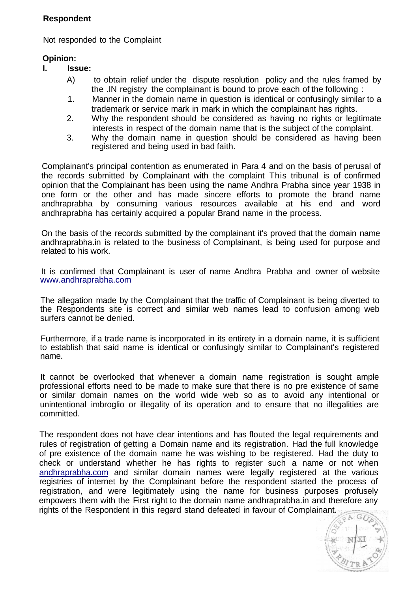## **Respondent**

Not responded to the Complaint

## **Opinion:**

- **I. Issue:** 
	- A) to obtain relief under the dispute resolution policy and the rules framed by the .IN registry the complainant is bound to prove each of the following :
	- 1. Manner in the domain name in question is identical or confusingly similar to a trademark or service mark in mark in which the complainant has rights.
	- 2. Why the respondent should be considered as having no rights or legitimate interests in respect of the domain name that is the subject of the complaint.
	- 3. Why the domain name in question should be considered as having been registered and being used in bad faith.

Complainant's principal contention as enumerated in Para 4 and on the basis of perusal of the records submitted by Complainant with the complaint This tribunal is of confirmed opinion that the Complainant has been using the name Andhra Prabha since year 1938 in one form or the other and has made sincere efforts to promote the brand name andhraprabha by consuming various resources available at his end and word andhraprabha has certainly acquired a popular Brand name in the process.

On the basis of the records submitted by the complainant it's proved that the domain name andhraprabha.in is related to the business of Complainant, is being used for purpose and related to his work.

It is confirmed that Complainant is user of name Andhra Prabha and owner of website [www.andhraprabha.com](http://www.andhraprabha.com)

The allegation made by the Complainant that the traffic of Complainant is being diverted to the Respondents site is correct and similar web names lead to confusion among web surfers cannot be denied.

Furthermore, if a trade name is incorporated in its entirety in a domain name, it is sufficient to establish that said name is identical or confusingly similar to Complainant's registered name.

It cannot be overlooked that whenever a domain name registration is sought ample professional efforts need to be made to make sure that there is no pre existence of same or similar domain names on the world wide web so as to avoid any intentional or unintentional imbroglio or illegality of its operation and to ensure that no illegalities are committed.

The respondent does not have clear intentions and has flouted the legal requirements and rules of registration of getting a Domain name and its registration. Had the full knowledge of pre existence of the domain name he was wishing to be registered. Had the duty to check or understand whether he has rights to register such a name or not when [andhraprabha.com](http://andhraprabha.com) and similar domain names were legally registered at the various registries of internet by the Complainant before the respondent started the process of registration, and were legitimately using the name for business purposes profusely empowers them with the First right to the domain name andhraprabha.in and therefore any rights of the Respondent in this regard stand defeated in favour of Complainant.